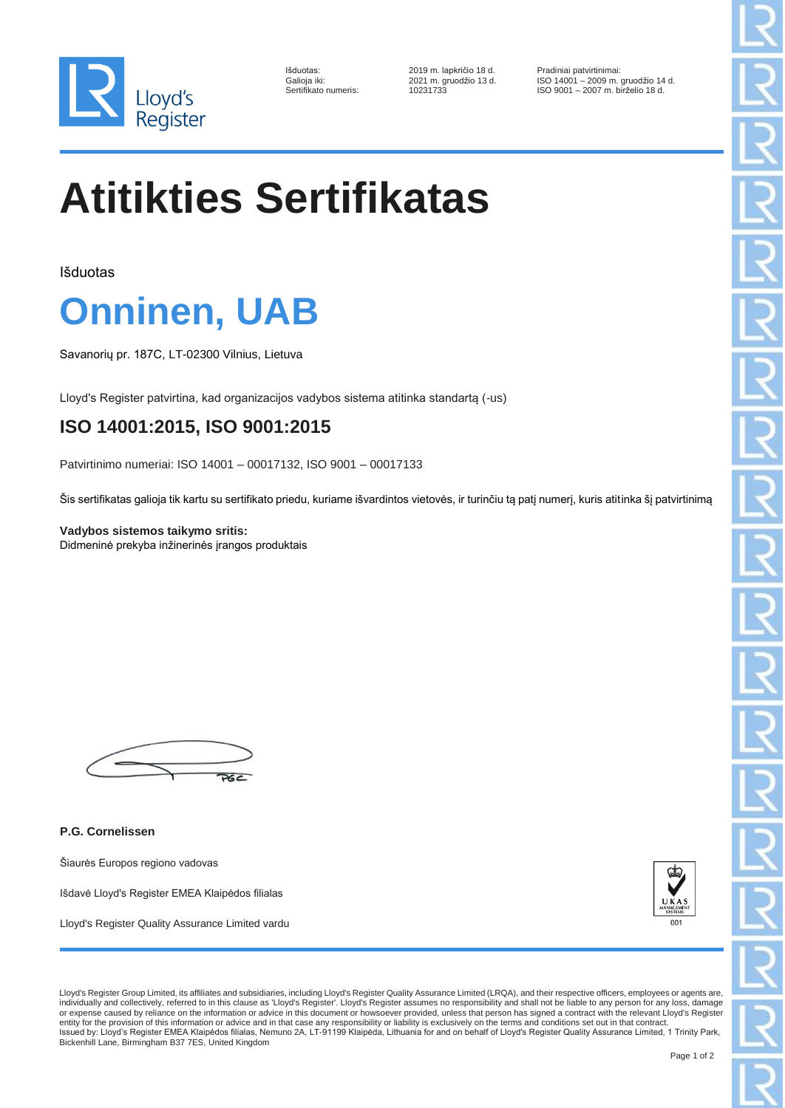

| Išduotas:            |
|----------------------|
| Galioja iki:         |
| Sertifikato numeris: |
|                      |

2019 m. lapkričio 18 d. Pradiniai patvirtinimai:<br>2021 m. gruodžio 13 d. ISO 14001 - 2009 m.

Galioja iki: 2021 m. gruodžio 13 d. ISO 14001 – 2009 m. gruodžio 14 d. ISO 9001 – 2007 m. birželio 18 d.

## **Atitikties Sertifikatas**

Išduotas

## **Onninen, UAB**

Savanorių pr. 187C, LT-02300 Vilnius, Lietuva

Lloyd's Register patvirtina, kad organizacijos vadybos sistema atitinka standartą (-us)

## **ISO 14001:2015, ISO 9001:2015**

Patvirtinimo numeriai: ISO 14001 – 00017132, ISO 9001 – 00017133

Šis sertifikatas galioja tik kartu su sertifikato priedu, kuriame išvardintos vietovės, ir turinčiu tą patį numerį, kuris atitinka šį patvirtinimą

**Vadybos sistemos taikymo sritis:** Didmeninė prekyba inžinerinės įrangos produktais



**P.G. Cornelissen**

Šiaurės Europos regiono vadovas

Išdavė Lloyd's Register EMEA Klaipėdos filialas

Lloyd's Register Quality Assurance Limited vardu



Lloyd's Register Group Limited, its affiliates and subsidiaries, including Lloyd's Register Quality Assurance Limited (LRQA), and their respective officers, employees or agents are, individually and collectively, referred to in this clause as 'Lloyd's Register'. Lloyd's Register assumes no responsibility and shall not be liable to any person for any loss, damage or expense caused by reliance on the information or advice in this document or howsoever provided, unless that person has signed a contract with the relevant Lloyd's Register<br>entity for the provision of this information or